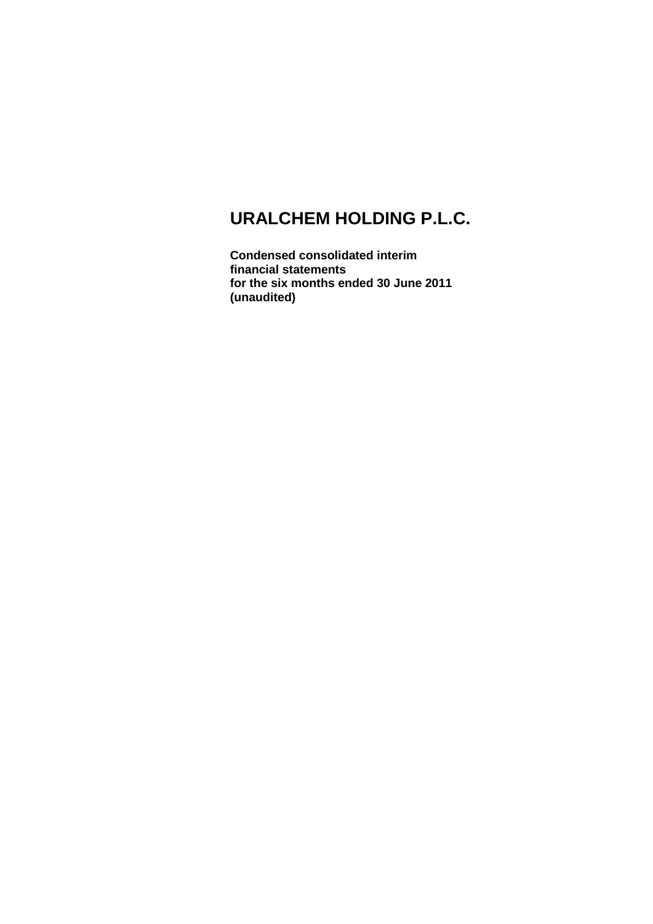**Condensed consolidated interim financial statements for the six months ended 30 June 2011 (unaudited)**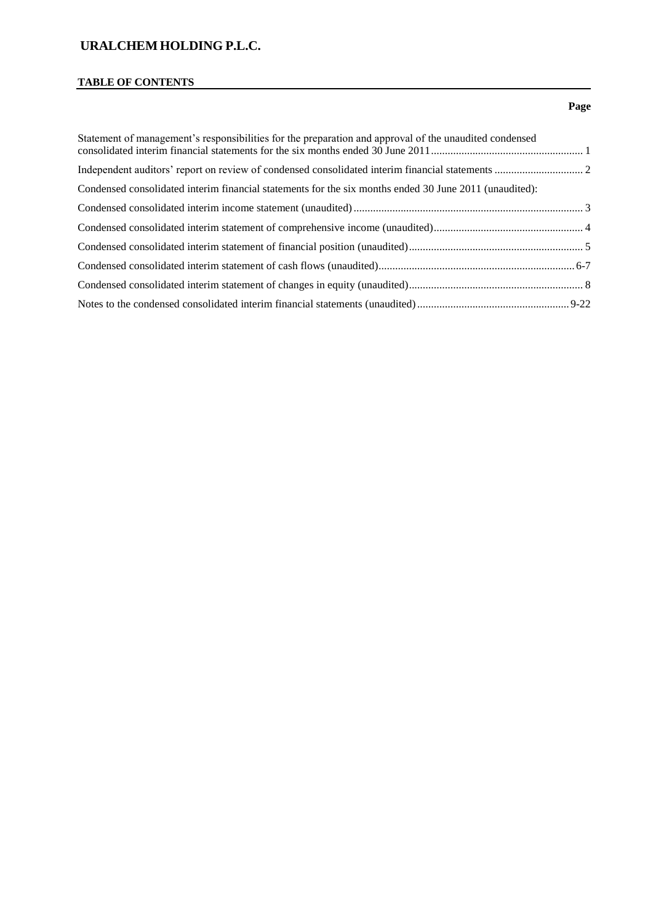#### **TABLE OF CONTENTS**

## Statement of management's responsibilities for the preparation and approval of the unaudited condensed consolidated interim financial statements for the six months ended 30 June 2011....................................................... 1 Independent auditors' report on review of condensed consolidated interim financial statements ................................ 2 Condensed consolidated interim financial statements for the six months ended 30 June 2011 (unaudited): Condensed consolidated interim income statement (unaudited)................................................................................... 3 Condensed consolidated interim statement of comprehensive income (unaudited)...................................................... 4 Condensed consolidated interim statement of financial position (unaudited)............................................................... 5 Condensed consolidated interim statement of cash flows (unaudited).......................................................................6-7 Condensed consolidated interim statement of changes in equity (unaudited)............................................................... 8 Notes to the condensed consolidated interim financial statements (unaudited)....................................................... 9-22

#### **Page**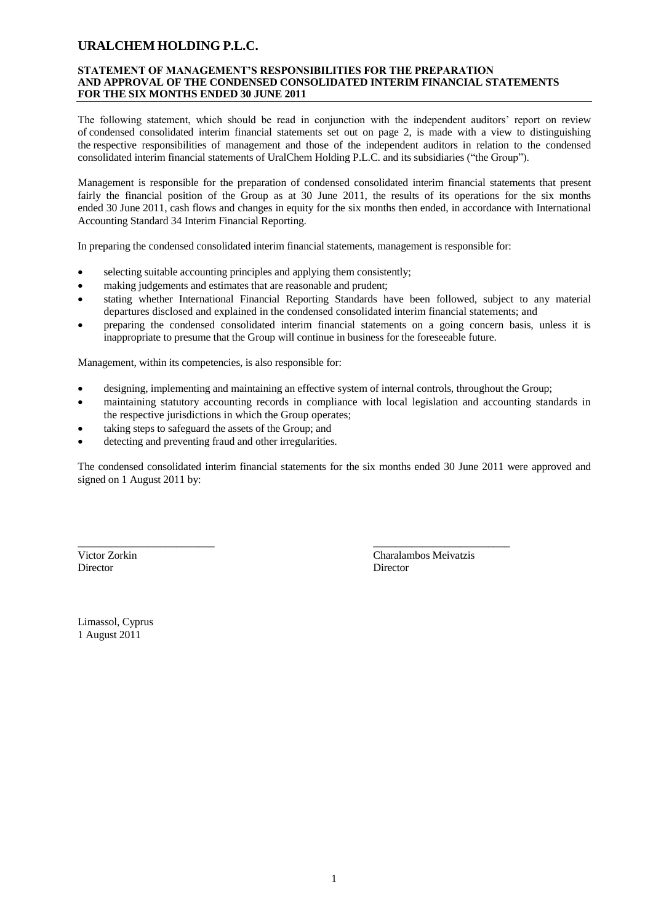#### **STATEMENT OF MANAGEMENT'S RESPONSIBILITIES FOR THE PREPARATION AND APPROVAL OF THE CONDENSED CONSOLIDATED INTERIM FINANCIAL STATEMENTS FOR THE SIX MONTHS ENDED 30 JUNE 2011**

The following statement, which should be read in conjunction with the independent auditors' report on review of condensed consolidated interim financial statements set out on page 2, is made with a view to distinguishing the respective responsibilities of management and those of the independent auditors in relation to the condensed consolidated interim financial statements of UralChem Holding P.L.C. and its subsidiaries ("the Group").

Management is responsible for the preparation of condensed consolidated interim financial statements that present fairly the financial position of the Group as at 30 June 2011, the results of its operations for the six months ended 30 June 2011, cash flows and changes in equity for the six months then ended, in accordance with International Accounting Standard 34 Interim Financial Reporting.

In preparing the condensed consolidated interim financial statements, management is responsible for:

- selecting suitable accounting principles and applying them consistently;
- making judgements and estimates that are reasonable and prudent;
- stating whether International Financial Reporting Standards have been followed, subject to any material departures disclosed and explained in the condensed consolidated interim financial statements; and
- preparing the condensed consolidated interim financial statements on a going concern basis, unless it is inappropriate to presume that the Group will continue in business for the foreseeable future.

Management, within its competencies, is also responsible for:

designing, implementing and maintaining an effective system of internal controls, throughout the Group;

\_\_\_\_\_\_\_\_\_\_\_\_\_\_\_\_\_\_\_\_\_\_\_\_\_ \_\_\_\_\_\_\_\_\_\_\_\_\_\_\_\_\_\_\_\_\_\_\_\_\_

- maintaining statutory accounting records in compliance with local legislation and accounting standards in the respective jurisdictions in which the Group operates;
- taking steps to safeguard the assets of the Group; and
- detecting and preventing fraud and other irregularities.

The condensed consolidated interim financial statements for the six months ended 30 June 2011 were approved and signed on 1 August 2011 by:

Director Director

Victor Zorkin Charalambos Meivatzis

Limassol, Cyprus 1 August 2011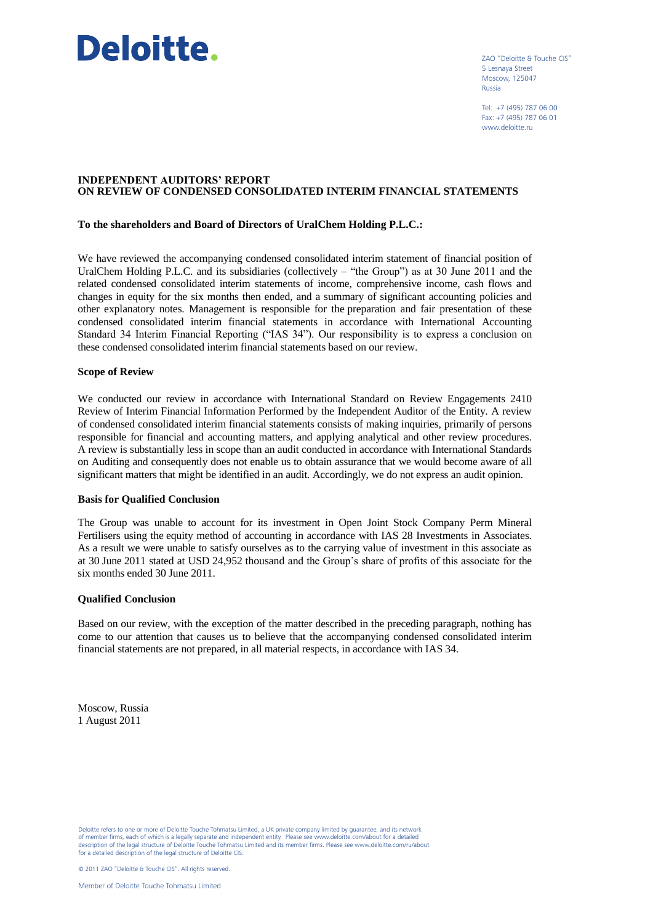# Deloitte.

ZAO "Deloitte & Touche CIS" 5 Lesnaya Street Moscow, 125047 Russia

Tel: +7 (495) 787 06 00 Fax: +7 (495) 787 06 01 www.deloitte.ru

#### **INDEPENDENT AUDITORS' REPORT ON REVIEW OF CONDENSED CONSOLIDATED INTERIM FINANCIAL STATEMENTS**

#### **To the shareholders and Board of Directors of UralChem Holding P.L.C.:**

We have reviewed the accompanying condensed consolidated interim statement of financial position of UralChem Holding P.L.C. and its subsidiaries (collectively – "the Group") as at 30 June 2011 and the related condensed consolidated interim statements of income, comprehensive income, cash flows and changes in equity for the six months then ended, and a summary of significant accounting policies and other explanatory notes. Management is responsible for the preparation and fair presentation of these condensed consolidated interim financial statements in accordance with International Accounting Standard 34 Interim Financial Reporting ("IAS 34"). Our responsibility is to express a conclusion on these condensed consolidated interim financial statements based on our review.

#### **Scope of Review**

We conducted our review in accordance with International Standard on Review Engagements 2410 Review of Interim Financial Information Performed by the Independent Auditor of the Entity. A review of condensed consolidated interim financial statements consists of making inquiries, primarily of persons responsible for financial and accounting matters, and applying analytical and other review procedures. A review is substantially less in scope than an audit conducted in accordance with International Standards on Auditing and consequently does not enable us to obtain assurance that we would become aware of all significant matters that might be identified in an audit. Accordingly, we do not express an audit opinion.

#### **Basis for Qualified Conclusion**

The Group was unable to account for its investment in Open Joint Stock Company Perm Mineral Fertilisers using the equity method of accounting in accordance with IAS 28 Investments in Associates. As a result we were unable to satisfy ourselves as to the carrying value of investment in this associate as at 30 June 2011 stated at USD 24,952 thousand and the Group's share of profits of this associate for the six months ended 30 June 2011.

#### **Qualified Conclusion**

Based on our review, with the exception of the matter described in the preceding paragraph, nothing has come to our attention that causes us to believe that the accompanying condensed consolidated interim financial statements are not prepared, in all material respects, in accordance with IAS 34.

Moscow, Russia 1 August 2011

Deloitte refers to one or more of Deloitte Touche Tohmatsu Limited, a UK private company limited by guarantee, and its network of member firms, each of which is a legally separate and independent entity. Please see www.deloitte.com/about for a detailed description of the legal structure of Deloitte Touche Tohmatsu Limited and its member firms. Please see www.deloitte.com/ru/about for a detailed description of the legal structure of Deloitte CIS.

© 2011 ZAO "Deloitte & Touche CIS". All rights reserved.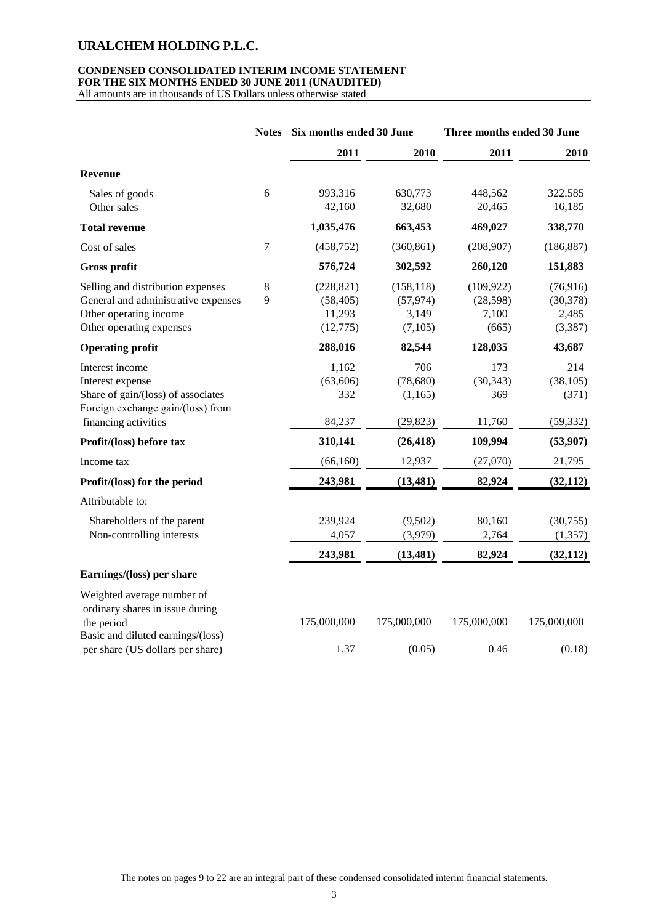## **CONDENSED CONSOLIDATED INTERIM INCOME STATEMENT FOR THE SIX MONTHS ENDED 30 JUNE 2011 (UNAUDITED)**

All amounts are in thousands of US Dollars unless otherwise stated

|                                                                                                                                        | <b>Notes</b> | Six months ended 30 June                       |                                             | Three months ended 30 June                |                                             |  |
|----------------------------------------------------------------------------------------------------------------------------------------|--------------|------------------------------------------------|---------------------------------------------|-------------------------------------------|---------------------------------------------|--|
|                                                                                                                                        |              | 2011                                           | 2010                                        | 2011                                      | 2010                                        |  |
| <b>Revenue</b>                                                                                                                         |              |                                                |                                             |                                           |                                             |  |
| Sales of goods<br>Other sales                                                                                                          | 6            | 993,316<br>42,160                              | 630,773<br>32,680                           | 448,562<br>20,465                         | 322,585<br>16,185                           |  |
| <b>Total revenue</b>                                                                                                                   |              | 1,035,476                                      | 663,453                                     | 469,027                                   | 338,770                                     |  |
| Cost of sales                                                                                                                          | 7            | (458, 752)                                     | (360, 861)                                  | (208, 907)                                | (186, 887)                                  |  |
| <b>Gross profit</b>                                                                                                                    |              | 576,724                                        | 302,592                                     | 260,120                                   | 151,883                                     |  |
| Selling and distribution expenses<br>General and administrative expenses<br>Other operating income<br>Other operating expenses         | 8<br>9       | (228, 821)<br>(58, 405)<br>11,293<br>(12, 775) | (158, 118)<br>(57, 974)<br>3,149<br>(7,105) | (109, 922)<br>(28, 598)<br>7,100<br>(665) | (76, 916)<br>(30, 378)<br>2,485<br>(3, 387) |  |
| <b>Operating profit</b>                                                                                                                |              | 288,016                                        | 82,544                                      | 128,035                                   | 43,687                                      |  |
| Interest income<br>Interest expense<br>Share of gain/(loss) of associates<br>Foreign exchange gain/(loss) from<br>financing activities |              | 1,162<br>(63, 606)<br>332<br>84,237            | 706<br>(78,680)<br>(1,165)<br>(29, 823)     | 173<br>(30, 343)<br>369<br>11,760         | 214<br>(38, 105)<br>(371)<br>(59, 332)      |  |
| Profit/(loss) before tax                                                                                                               |              | 310,141                                        | (26, 418)                                   | 109,994                                   | (53,907)                                    |  |
| Income tax                                                                                                                             |              | (66,160)                                       | 12,937                                      | (27,070)                                  | 21,795                                      |  |
| Profit/(loss) for the period                                                                                                           |              | 243,981                                        | (13, 481)                                   | 82,924                                    | (32, 112)                                   |  |
| Attributable to:                                                                                                                       |              |                                                |                                             |                                           |                                             |  |
| Shareholders of the parent<br>Non-controlling interests                                                                                |              | 239,924<br>4,057                               | (9,502)<br>(3,979)                          | 80,160<br>2,764                           | (30,755)<br>(1, 357)                        |  |
|                                                                                                                                        |              | 243,981                                        | (13, 481)                                   | 82,924                                    | (32, 112)                                   |  |
| Earnings/(loss) per share                                                                                                              |              |                                                |                                             |                                           |                                             |  |
| Weighted average number of<br>ordinary shares in issue during<br>the period<br>Basic and diluted earnings/(loss)                       |              | 175,000,000                                    | 175,000,000                                 | 175,000,000                               | 175,000,000                                 |  |
| per share (US dollars per share)                                                                                                       |              | 1.37                                           | (0.05)                                      | 0.46                                      | (0.18)                                      |  |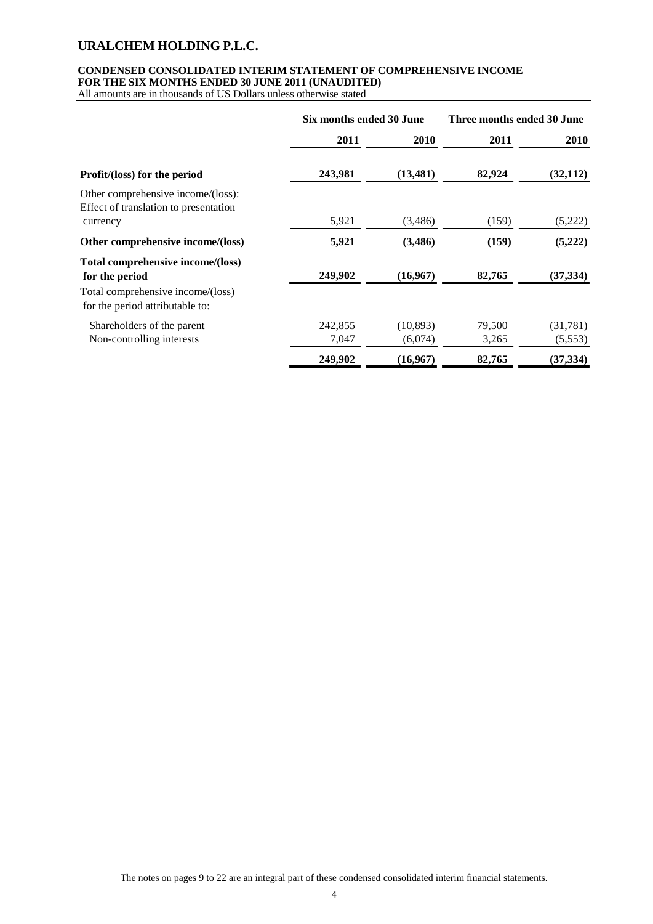## **CONDENSED CONSOLIDATED INTERIM STATEMENT OF COMPREHENSIVE INCOME FOR THE SIX MONTHS ENDED 30 JUNE 2011 (UNAUDITED)**

All amounts are in thousands of US Dollars unless otherwise stated

|                                                                             | Six months ended 30 June |           | Three months ended 30 June |           |  |
|-----------------------------------------------------------------------------|--------------------------|-----------|----------------------------|-----------|--|
|                                                                             | 2011                     | 2010      | 2011                       | 2010      |  |
| <b>Profit/(loss) for the period</b>                                         | 243,981                  | (13, 481) | 82,924                     | (32, 112) |  |
| Other comprehensive income/(loss):<br>Effect of translation to presentation |                          |           |                            |           |  |
| currency                                                                    | 5,921                    | (3,486)   | (159)                      | (5,222)   |  |
| Other comprehensive income/(loss)                                           | 5,921                    | (3, 486)  | (159)                      | (5,222)   |  |
| Total comprehensive income/(loss)<br>for the period                         | 249,902                  | (16,967)  | 82,765                     | (37, 334) |  |
| Total comprehensive income/(loss)<br>for the period attributable to:        |                          |           |                            |           |  |
| Shareholders of the parent                                                  | 242,855                  | (10, 893) | 79,500                     | (31,781)  |  |
| Non-controlling interests                                                   | 7,047                    | (6,074)   | 3,265                      | (5,553)   |  |
|                                                                             | 249,902                  | (16,967)  | 82,765                     | (37, 334) |  |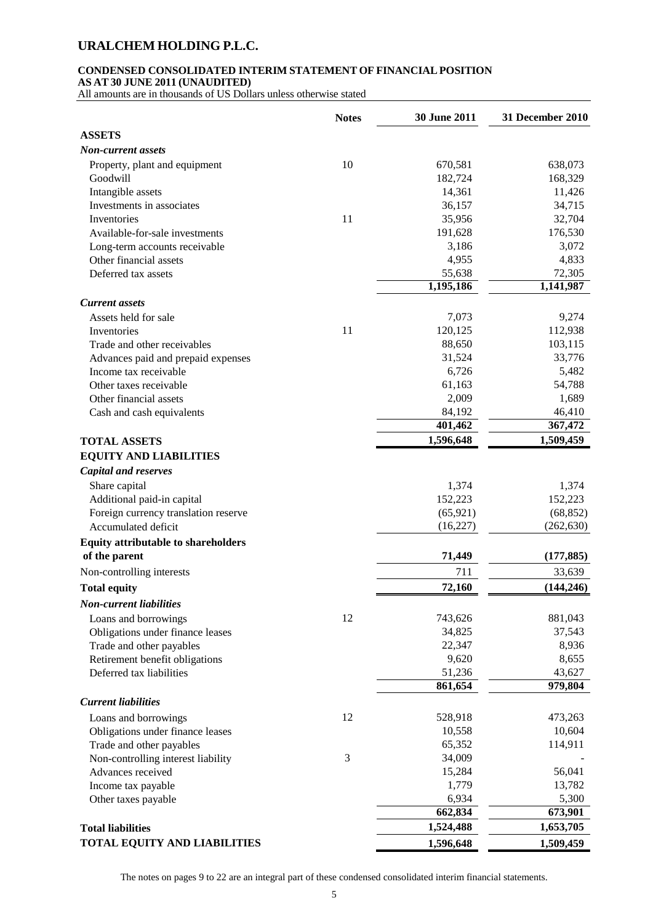## **CONDENSED CONSOLIDATED INTERIM STATEMENT OF FINANCIAL POSITION**

**AS AT 30 JUNE 2011 (UNAUDITED)**

All amounts are in thousands of US Dollars unless otherwise stated

|                                      | <b>Notes</b> | 30 June 2011 | 31 December 2010 |
|--------------------------------------|--------------|--------------|------------------|
| <b>ASSETS</b>                        |              |              |                  |
| <b>Non-current assets</b>            |              |              |                  |
| Property, plant and equipment        | 10           | 670,581      | 638,073          |
| Goodwill                             |              | 182,724      | 168,329          |
| Intangible assets                    |              | 14,361       | 11,426           |
| Investments in associates            |              | 36,157       | 34,715           |
| Inventories                          | 11           | 35,956       | 32,704           |
| Available-for-sale investments       |              | 191,628      | 176,530          |
| Long-term accounts receivable        |              | 3,186        | 3,072            |
| Other financial assets               |              | 4,955        | 4,833            |
| Deferred tax assets                  |              | 55,638       | 72,305           |
|                                      |              | 1,195,186    | 1,141,987        |
| <b>Current</b> assets                |              |              |                  |
| Assets held for sale                 |              | 7,073        | 9,274            |
| Inventories                          | 11           | 120,125      | 112,938          |
| Trade and other receivables          |              | 88,650       | 103,115          |
| Advances paid and prepaid expenses   |              | 31,524       | 33,776           |
| Income tax receivable                |              | 6,726        | 5,482            |
| Other taxes receivable               |              | 61,163       | 54,788           |
| Other financial assets               |              | 2,009        | 1,689            |
| Cash and cash equivalents            |              | 84,192       | 46,410           |
|                                      |              | 401,462      | 367,472          |
| <b>TOTAL ASSETS</b>                  |              | 1,596,648    | 1,509,459        |
| <b>EQUITY AND LIABILITIES</b>        |              |              |                  |
| <b>Capital and reserves</b>          |              |              |                  |
| Share capital                        |              | 1,374        | 1,374            |
| Additional paid-in capital           |              | 152,223      | 152,223          |
| Foreign currency translation reserve |              | (65, 921)    | (68, 852)        |
| Accumulated deficit                  |              | (16, 227)    | (262, 630)       |
| Equity attributable to shareholders  |              |              |                  |
| of the parent                        |              | 71,449       | (177, 885)       |
| Non-controlling interests            |              | 711          | 33,639           |
| <b>Total equity</b>                  |              | 72,160       | (144, 246)       |
|                                      |              |              |                  |
| <b>Non-current liabilities</b>       |              |              |                  |
| Loans and borrowings                 | 12           | 743,626      | 881,043          |
| Obligations under finance leases     |              | 34,825       | 37,543           |
| Trade and other payables             |              | 22,347       | 8,936            |
| Retirement benefit obligations       |              | 9,620        | 8,655            |
| Deferred tax liabilities             |              | 51,236       | 43,627           |
|                                      |              | 861,654      | 979,804          |
| <b>Current liabilities</b>           |              |              |                  |
| Loans and borrowings                 | 12           | 528,918      | 473,263          |
| Obligations under finance leases     |              | 10,558       | 10,604           |
| Trade and other payables             |              | 65,352       | 114,911          |
| Non-controlling interest liability   | 3            | 34,009       |                  |
| Advances received                    |              | 15,284       | 56,041           |
| Income tax payable                   |              | 1,779        | 13,782           |
| Other taxes payable                  |              | 6,934        | 5,300            |
|                                      |              | 662,834      | 673,901          |
| <b>Total liabilities</b>             |              | 1,524,488    | 1,653,705        |
| <b>TOTAL EQUITY AND LIABILITIES</b>  |              | 1,596,648    | 1,509,459        |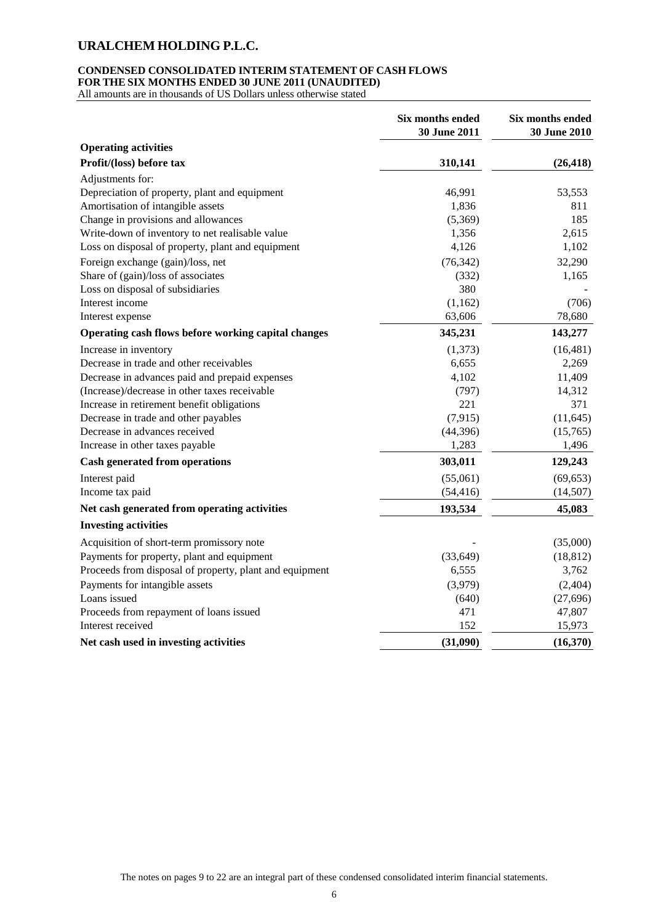## **CONDENSED CONSOLIDATED INTERIM STATEMENT OF CASH FLOWS FOR THE SIX MONTHS ENDED 30 JUNE 2011 (UNAUDITED)**

All amounts are in thousands of US Dollars unless otherwise stated

|                                                         | Six months ended<br>30 June 2011 | Six months ended<br>30 June 2010 |
|---------------------------------------------------------|----------------------------------|----------------------------------|
| <b>Operating activities</b>                             |                                  |                                  |
| Profit/(loss) before tax                                | 310,141                          | (26, 418)                        |
| Adjustments for:                                        |                                  |                                  |
| Depreciation of property, plant and equipment           | 46,991                           | 53,553                           |
| Amortisation of intangible assets                       | 1,836                            | 811                              |
| Change in provisions and allowances                     | (5,369)                          | 185                              |
| Write-down of inventory to net realisable value         | 1,356                            | 2,615                            |
| Loss on disposal of property, plant and equipment       | 4,126                            | 1,102                            |
| Foreign exchange (gain)/loss, net                       | (76, 342)                        | 32,290                           |
| Share of (gain)/loss of associates                      | (332)                            | 1,165                            |
| Loss on disposal of subsidiaries                        | 380                              |                                  |
| Interest income                                         | (1,162)                          | (706)                            |
| Interest expense                                        | 63,606                           | 78,680                           |
| Operating cash flows before working capital changes     | 345,231                          | 143,277                          |
| Increase in inventory                                   | (1,373)                          | (16, 481)                        |
| Decrease in trade and other receivables                 | 6,655                            | 2,269                            |
| Decrease in advances paid and prepaid expenses          | 4,102                            | 11,409                           |
| (Increase)/decrease in other taxes receivable           | (797)                            | 14,312                           |
| Increase in retirement benefit obligations              | 221                              | 371                              |
| Decrease in trade and other payables                    | (7, 915)                         | (11, 645)                        |
| Decrease in advances received                           | (44, 396)                        | (15,765)                         |
| Increase in other taxes payable                         | 1,283                            | 1,496                            |
| <b>Cash generated from operations</b>                   | 303,011                          | 129,243                          |
| Interest paid                                           | (55,061)                         | (69, 653)                        |
| Income tax paid                                         | (54, 416)                        | (14,507)                         |
| Net cash generated from operating activities            | 193,534                          | 45,083                           |
| <b>Investing activities</b>                             |                                  |                                  |
| Acquisition of short-term promissory note               |                                  | (35,000)                         |
| Payments for property, plant and equipment              | (33, 649)                        | (18, 812)                        |
| Proceeds from disposal of property, plant and equipment | 6,555                            | 3,762                            |
| Payments for intangible assets                          | (3,979)                          | (2, 404)                         |
| Loans issued                                            | (640)                            | (27, 696)                        |
| Proceeds from repayment of loans issued                 | 471                              | 47,807                           |
| Interest received                                       | 152                              | 15,973                           |
| Net cash used in investing activities                   | (31,090)                         | (16,370)                         |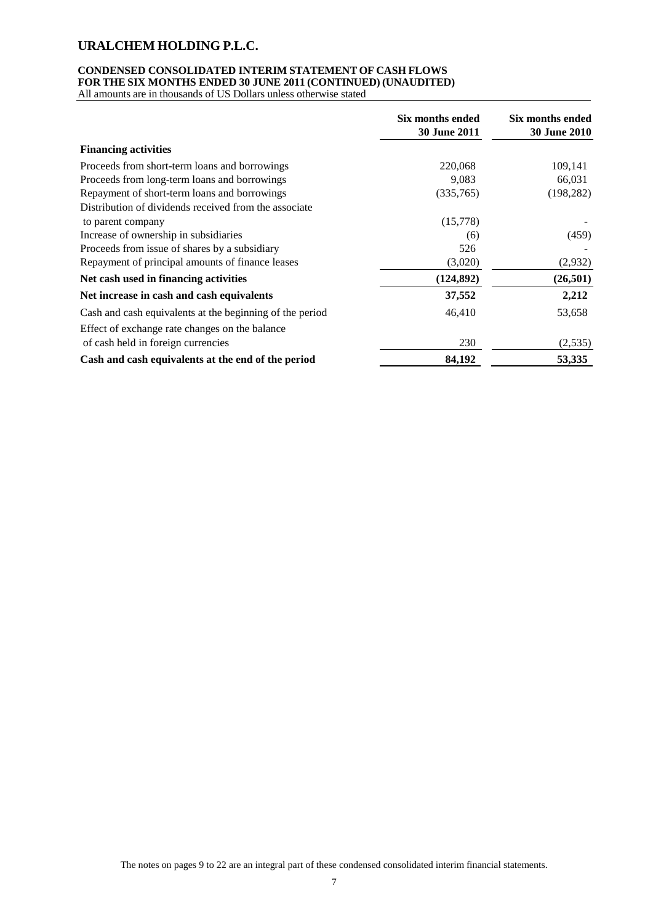## **CONDENSED CONSOLIDATED INTERIM STATEMENT OF CASH FLOWS FOR THE SIX MONTHS ENDED 30 JUNE 2011 (CONTINUED) (UNAUDITED)**

All amounts are in thousands of US Dollars unless otherwise stated

|                                                          | Six months ended<br>30 June 2011 | Six months ended<br><b>30 June 2010</b> |
|----------------------------------------------------------|----------------------------------|-----------------------------------------|
| <b>Financing activities</b>                              |                                  |                                         |
| Proceeds from short-term loans and borrowings            | 220,068                          | 109,141                                 |
| Proceeds from long-term loans and borrowings             | 9,083                            | 66,031                                  |
| Repayment of short-term loans and borrowings             | (335,765)                        | (198, 282)                              |
| Distribution of dividends received from the associate    |                                  |                                         |
| to parent company                                        | (15,778)                         |                                         |
| Increase of ownership in subsidiaries                    | (6)                              | (459)                                   |
| Proceeds from issue of shares by a subsidiary            | 526                              |                                         |
| Repayment of principal amounts of finance leases         | (3,020)                          | (2,932)                                 |
| Net cash used in financing activities                    | (124, 892)                       | (26, 501)                               |
| Net increase in cash and cash equivalents                | 37,552                           | 2,212                                   |
| Cash and cash equivalents at the beginning of the period | 46,410                           | 53,658                                  |
| Effect of exchange rate changes on the balance           |                                  |                                         |
| of cash held in foreign currencies                       | 230                              | (2,535)                                 |
| Cash and cash equivalents at the end of the period       | 84,192                           | 53,335                                  |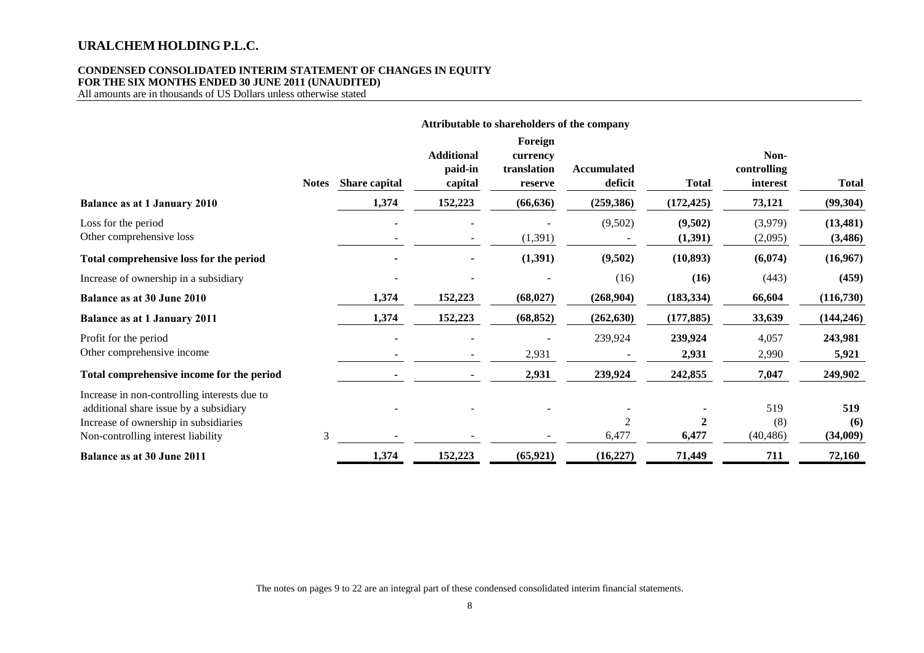## **CONDENSED CONSOLIDATED INTERIM STATEMENT OF CHANGES IN EQUITY FOR THE SIX MONTHS ENDED 30 JUNE 2011 (UNAUDITED)**

All amounts are in thousands of US Dollars unless otherwise stated

|                                                                                                                                                                       |              | Attributable to shareholders of the company |                                         |                                               |                               |                     |                                 |                        |
|-----------------------------------------------------------------------------------------------------------------------------------------------------------------------|--------------|---------------------------------------------|-----------------------------------------|-----------------------------------------------|-------------------------------|---------------------|---------------------------------|------------------------|
|                                                                                                                                                                       | <b>Notes</b> | Share capital                               | <b>Additional</b><br>paid-in<br>capital | Foreign<br>currency<br>translation<br>reserve | <b>Accumulated</b><br>deficit | <b>Total</b>        | Non-<br>controlling<br>interest | <b>Total</b>           |
| <b>Balance as at 1 January 2010</b>                                                                                                                                   |              | 1,374                                       | 152,223                                 | (66, 636)                                     | (259, 386)                    | (172, 425)          | 73,121                          | (99, 304)              |
| Loss for the period<br>Other comprehensive loss                                                                                                                       |              |                                             |                                         | (1, 391)                                      | (9,502)                       | (9,502)<br>(1, 391) | (3,979)<br>(2,095)              | (13, 481)<br>(3,486)   |
| Total comprehensive loss for the period                                                                                                                               |              |                                             |                                         | (1, 391)                                      | (9,502)                       | (10, 893)           | (6,074)                         | (16,967)               |
| Increase of ownership in a subsidiary                                                                                                                                 |              |                                             |                                         |                                               | (16)                          | (16)                | (443)                           | (459)                  |
| <b>Balance as at 30 June 2010</b>                                                                                                                                     |              | 1,374                                       | 152,223                                 | (68, 027)                                     | (268,904)                     | (183, 334)          | 66,604                          | (116,730)              |
| <b>Balance as at 1 January 2011</b>                                                                                                                                   |              | 1,374                                       | 152,223                                 | (68, 852)                                     | (262, 630)                    | (177, 885)          | 33,639                          | (144, 246)             |
| Profit for the period<br>Other comprehensive income                                                                                                                   |              |                                             |                                         | 2,931                                         | 239,924                       | 239,924<br>2,931    | 4,057<br>2,990                  | 243,981<br>5,921       |
| Total comprehensive income for the period                                                                                                                             |              |                                             |                                         | 2,931                                         | 239,924                       | 242,855             | 7,047                           | 249,902                |
| Increase in non-controlling interests due to<br>additional share issue by a subsidiary<br>Increase of ownership in subsidiaries<br>Non-controlling interest liability | 3            |                                             |                                         |                                               | 2<br>6,477                    | 6,477               | 519<br>(8)<br>(40, 486)         | 519<br>(6)<br>(34,009) |
| Balance as at 30 June 2011                                                                                                                                            |              | 1,374                                       | 152,223                                 | (65, 921)                                     | (16, 227)                     | 71,449              | 711                             | 72,160                 |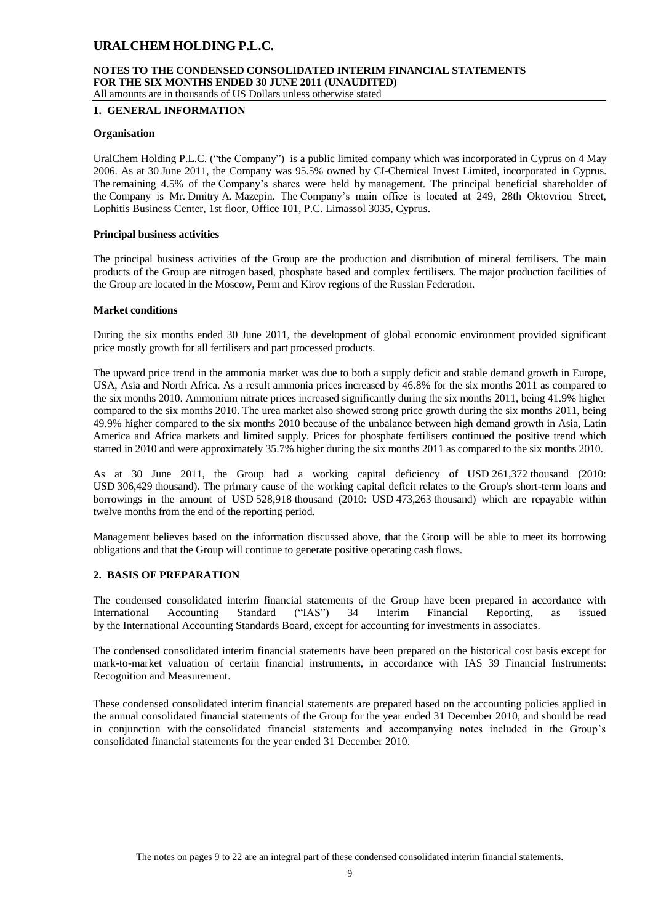#### **NOTES TO THE CONDENSED CONSOLIDATED INTERIM FINANCIAL STATEMENTS FOR THE SIX MONTHS ENDED 30 JUNE 2011 (UNAUDITED)** All amounts are in thousands of US Dollars unless otherwise stated

## **1. GENERAL INFORMATION**

## **Organisation**

UralChem Holding P.L.C. ("the Company") is a public limited company which was incorporated in Cyprus on 4 May 2006. As at 30 June 2011, the Company was 95.5% owned by CI-Chemical Invest Limited, incorporated in Cyprus. The remaining 4.5% of the Company's shares were held by management. The principal beneficial shareholder of the Company is Mr. Dmitry A. Mazepin. The Company's main office is located at 249, 28th Oktovriou Street, Lophitis Business Center, 1st floor, Office 101, P.C. Limassol 3035, Cyprus.

#### **Principal business activities**

The principal business activities of the Group are the production and distribution of mineral fertilisers. The main products of the Group are nitrogen based, phosphate based and complex fertilisers. The major production facilities of the Group are located in the Moscow, Perm and Kirov regions of the Russian Federation.

#### **Market conditions**

During the six months ended 30 June 2011, the development of global economic environment provided significant price mostly growth for all fertilisers and part processed products.

The upward price trend in the ammonia market was due to both a supply deficit and stable demand growth in Europe, USA, Asia and North Africa. As a result ammonia prices increased by 46.8% for the six months 2011 as compared to the six months 2010. Ammonium nitrate prices increased significantly during the six months 2011, being 41.9% higher compared to the six months 2010. The urea market also showed strong price growth during the six months 2011, being 49.9% higher compared to the six months 2010 because of the unbalance between high demand growth in Asia, Latin America and Africa markets and limited supply. Prices for phosphate fertilisers continued the positive trend which started in 2010 and were approximately 35.7% higher during the six months 2011 as compared to the six months 2010.

As at 30 June 2011, the Group had a working capital deficiency of USD 261,372 thousand (2010: USD 306,429 thousand). The primary cause of the working capital deficit relates to the Group's short-term loans and borrowings in the amount of USD 528,918 thousand (2010: USD 473,263 thousand) which are repayable within twelve months from the end of the reporting period.

Management believes based on the information discussed above, that the Group will be able to meet its borrowing obligations and that the Group will continue to generate positive operating cash flows.

## **2. BASIS OF PREPARATION**

The condensed consolidated interim financial statements of the Group have been prepared in accordance with International Accounting Standard ("IAS") 34 Interim Financial Reporting, as issued by the International Accounting Standards Board, except for accounting for investments in associates.

The condensed consolidated interim financial statements have been prepared on the historical cost basis except for mark-to-market valuation of certain financial instruments, in accordance with IAS 39 Financial Instruments: Recognition and Measurement.

These condensed consolidated interim financial statements are prepared based on the accounting policies applied in the annual consolidated financial statements of the Group for the year ended 31 December 2010, and should be read in conjunction with the consolidated financial statements and accompanying notes included in the Group's consolidated financial statements for the year ended 31 December 2010.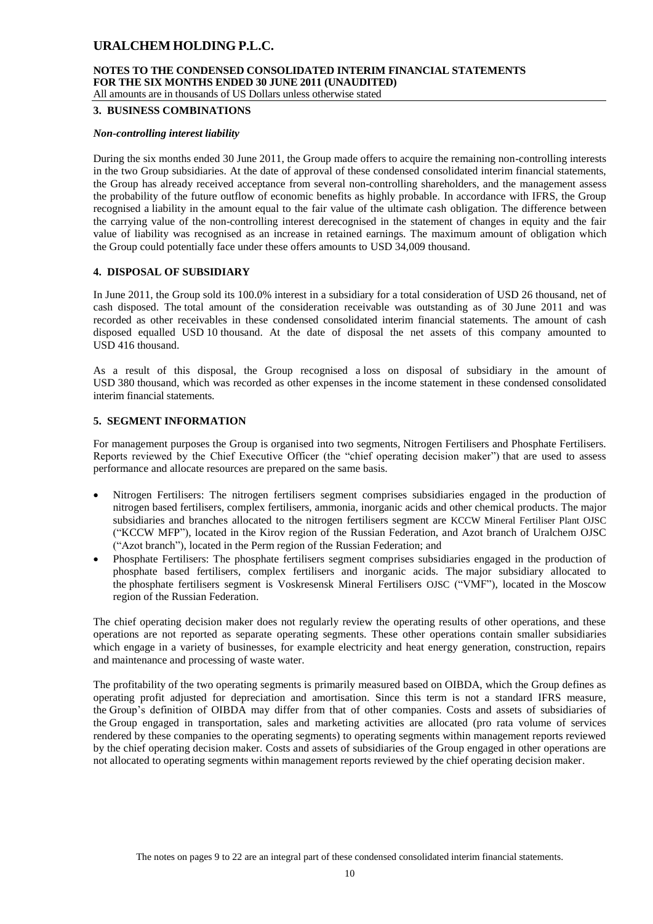## **NOTES TO THE CONDENSED CONSOLIDATED INTERIM FINANCIAL STATEMENTS FOR THE SIX MONTHS ENDED 30 JUNE 2011 (UNAUDITED)**

All amounts are in thousands of US Dollars unless otherwise stated

#### **3. BUSINESS COMBINATIONS**

#### *Non-controlling interest liability*

During the six months ended 30 June 2011, the Group made offers to acquire the remaining non-controlling interests in the two Group subsidiaries. At the date of approval of these condensed consolidated interim financial statements, the Group has already received acceptance from several non-controlling shareholders, and the management assess the probability of the future outflow of economic benefits as highly probable. In accordance with IFRS, the Group recognised a liability in the amount equal to the fair value of the ultimate cash obligation. The difference between the carrying value of the non-controlling interest derecognised in the statement of changes in equity and the fair value of liability was recognised as an increase in retained earnings. The maximum amount of obligation which the Group could potentially face under these offers amounts to USD 34,009 thousand.

## **4. DISPOSAL OF SUBSIDIARY**

In June 2011, the Group sold its 100.0% interest in a subsidiary for a total consideration of USD 26 thousand, net of cash disposed. The total amount of the consideration receivable was outstanding as of 30 June 2011 and was recorded as other receivables in these condensed consolidated interim financial statements. The amount of cash disposed equalled USD 10 thousand. At the date of disposal the net assets of this company amounted to USD 416 thousand.

As a result of this disposal, the Group recognised a loss on disposal of subsidiary in the amount of USD 380 thousand, which was recorded as other expenses in the income statement in these condensed consolidated interim financial statements.

## **5. SEGMENT INFORMATION**

For management purposes the Group is organised into two segments, Nitrogen Fertilisers and Phosphate Fertilisers. Reports reviewed by the Chief Executive Officer (the "chief operating decision maker") that are used to assess performance and allocate resources are prepared on the same basis.

- Nitrogen Fertilisers: The nitrogen fertilisers segment comprises subsidiaries engaged in the production of nitrogen based fertilisers, complex fertilisers, ammonia, inorganic acids and other chemical products. The major subsidiaries and branches allocated to the nitrogen fertilisers segment are KCCW Mineral Fertiliser Plant OJSC ("KCCW MFP"), located in the Kirov region of the Russian Federation, and Azot branch of Uralchem OJSC ("Azot branch"), located in the Perm region of the Russian Federation; and
- Phosphate Fertilisers: The phosphate fertilisers segment comprises subsidiaries engaged in the production of phosphate based fertilisers, complex fertilisers and inorganic acids. The major subsidiary allocated to the phosphate fertilisers segment is Voskresensk Mineral Fertilisers OJSC ("VMF"), located in the Moscow region of the Russian Federation.

The chief operating decision maker does not regularly review the operating results of other operations, and these operations are not reported as separate operating segments. These other operations contain smaller subsidiaries which engage in a variety of businesses, for example electricity and heat energy generation, construction, repairs and maintenance and processing of waste water.

The profitability of the two operating segments is primarily measured based on OIBDA, which the Group defines as operating profit adjusted for depreciation and amortisation. Since this term is not a standard IFRS measure, the Group's definition of OIBDA may differ from that of other companies. Costs and assets of subsidiaries of the Group engaged in transportation, sales and marketing activities are allocated (pro rata volume of services rendered by these companies to the operating segments) to operating segments within management reports reviewed by the chief operating decision maker. Costs and assets of subsidiaries of the Group engaged in other operations are not allocated to operating segments within management reports reviewed by the chief operating decision maker.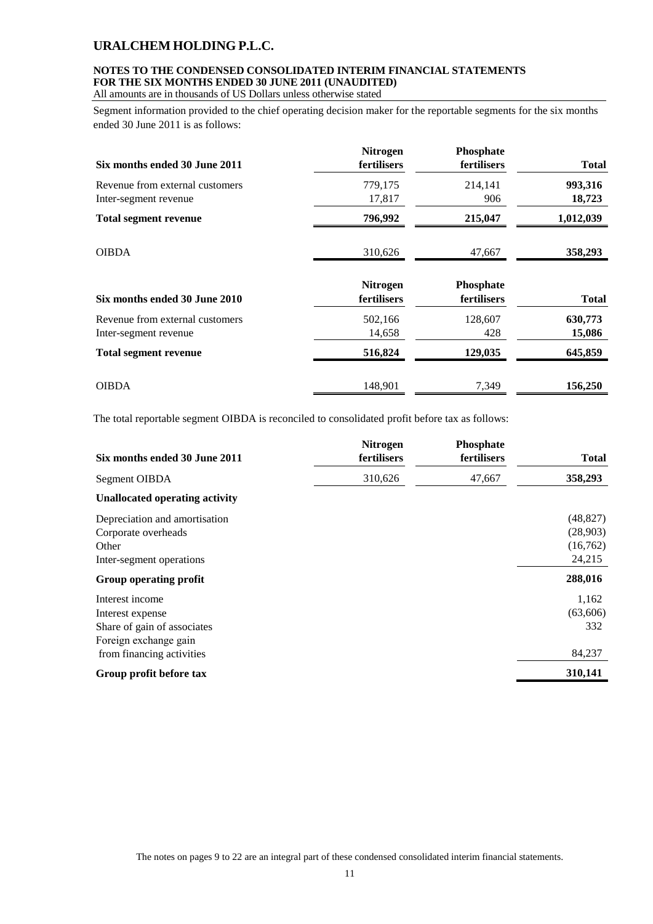## **NOTES TO THE CONDENSED CONSOLIDATED INTERIM FINANCIAL STATEMENTS FOR THE SIX MONTHS ENDED 30 JUNE 2011 (UNAUDITED)**

All amounts are in thousands of US Dollars unless otherwise stated

Segment information provided to the chief operating decision maker for the reportable segments for the six months ended 30 June 2011 is as follows:

| Six months ended 30 June 2011   | Nitrogen<br>fertilisers        | Phosphate<br>fertilisers | <b>Total</b> |
|---------------------------------|--------------------------------|--------------------------|--------------|
| Revenue from external customers | 779,175                        | 214,141                  | 993,316      |
| Inter-segment revenue           | 17,817                         | 906                      | 18,723       |
| <b>Total segment revenue</b>    | 796,992                        | 215,047                  | 1,012,039    |
| <b>OIBDA</b>                    | 310,626                        | 47,667                   | 358,293      |
| Six months ended 30 June 2010   | <b>Nitrogen</b><br>fertilisers | Phosphate<br>fertilisers | <b>Total</b> |
| Revenue from external customers | 502,166                        | 128,607                  | 630,773      |
| Inter-segment revenue           | 14,658                         | 428                      | 15,086       |
| <b>Total segment revenue</b>    | 516,824                        | 129,035                  | 645,859      |
| <b>OIBDA</b>                    | 148,901                        | 7,349                    | 156,250      |

The total reportable segment OIBDA is reconciled to consolidated profit before tax as follows:

| Six months ended 30 June 2011                                                                                            | <b>Nitrogen</b><br>fertilisers | Phosphate<br>fertilisers | <b>Total</b>                                |
|--------------------------------------------------------------------------------------------------------------------------|--------------------------------|--------------------------|---------------------------------------------|
| Segment OIBDA                                                                                                            | 310,626                        | 47,667                   | 358,293                                     |
| <b>Unallocated operating activity</b>                                                                                    |                                |                          |                                             |
| Depreciation and amortisation<br>Corporate overheads<br>Other<br>Inter-segment operations                                |                                |                          | (48, 827)<br>(28,903)<br>(16,762)<br>24,215 |
| Group operating profit                                                                                                   |                                |                          | 288,016                                     |
| Interest income<br>Interest expense<br>Share of gain of associates<br>Foreign exchange gain<br>from financing activities |                                |                          | 1,162<br>(63,606)<br>332<br>84,237          |
| Group profit before tax                                                                                                  |                                |                          | 310,141                                     |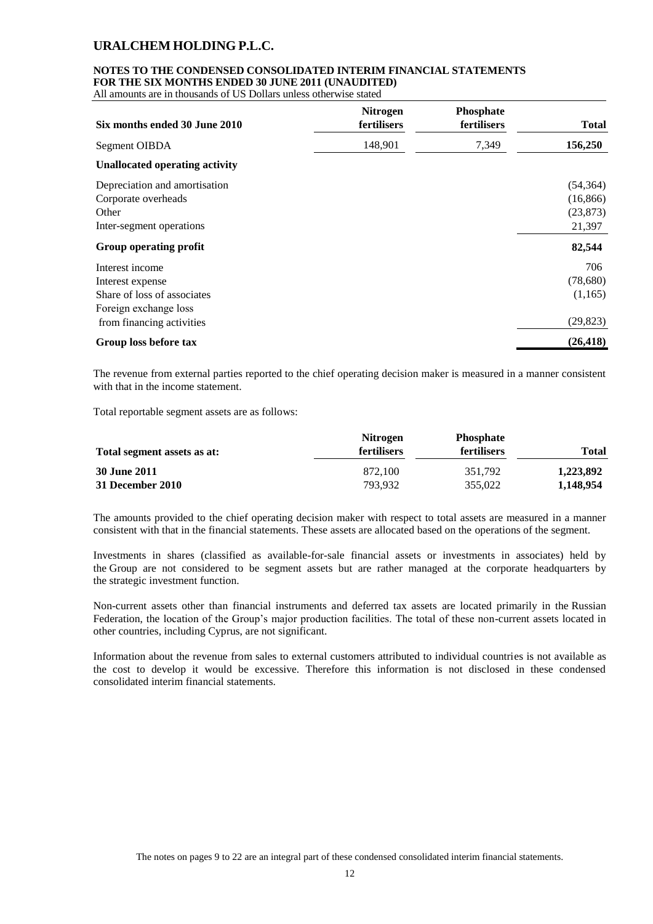#### **NOTES TO THE CONDENSED CONSOLIDATED INTERIM FINANCIAL STATEMENTS FOR THE SIX MONTHS ENDED 30 JUNE 2011 (UNAUDITED)**

All amounts are in thousands of US Dollars unless otherwise stated

| Six months ended 30 June 2010                                                                                            | <b>Nitrogen</b><br>fertilisers | Phosphate<br>fertilisers | <b>Total</b>                                  |
|--------------------------------------------------------------------------------------------------------------------------|--------------------------------|--------------------------|-----------------------------------------------|
| Segment OIBDA                                                                                                            | 148,901                        | 7,349                    | 156,250                                       |
| <b>Unallocated operating activity</b>                                                                                    |                                |                          |                                               |
| Depreciation and amortisation<br>Corporate overheads<br>Other<br>Inter-segment operations                                |                                |                          | (54, 364)<br>(16, 866)<br>(23, 873)<br>21,397 |
| Group operating profit                                                                                                   |                                |                          | 82,544                                        |
| Interest income<br>Interest expense<br>Share of loss of associates<br>Foreign exchange loss<br>from financing activities |                                |                          | 706<br>(78,680)<br>(1,165)<br>(29, 823)       |
| Group loss before tax                                                                                                    |                                |                          | (26, 418)                                     |

The revenue from external parties reported to the chief operating decision maker is measured in a manner consistent with that in the income statement.

Total reportable segment assets are as follows:

|                             | <b>Nitrogen</b>    | <b>Phosphate</b>   |              |
|-----------------------------|--------------------|--------------------|--------------|
| Total segment assets as at: | <b>fertilisers</b> | <b>fertilisers</b> | <b>Total</b> |
| <b>30 June 2011</b>         | 872,100            | 351.792            | 1,223,892    |
| 31 December 2010            | 793.932            | 355,022            | 1,148,954    |

The amounts provided to the chief operating decision maker with respect to total assets are measured in a manner consistent with that in the financial statements. These assets are allocated based on the operations of the segment.

Investments in shares (classified as available-for-sale financial assets or investments in associates) held by the Group are not considered to be segment assets but are rather managed at the corporate headquarters by the strategic investment function.

Non-current assets other than financial instruments and deferred tax assets are located primarily in the Russian Federation, the location of the Group's major production facilities. The total of these non-current assets located in other countries, including Cyprus, are not significant.

Information about the revenue from sales to external customers attributed to individual countries is not available as the cost to develop it would be excessive. Therefore this information is not disclosed in these condensed consolidated interim financial statements.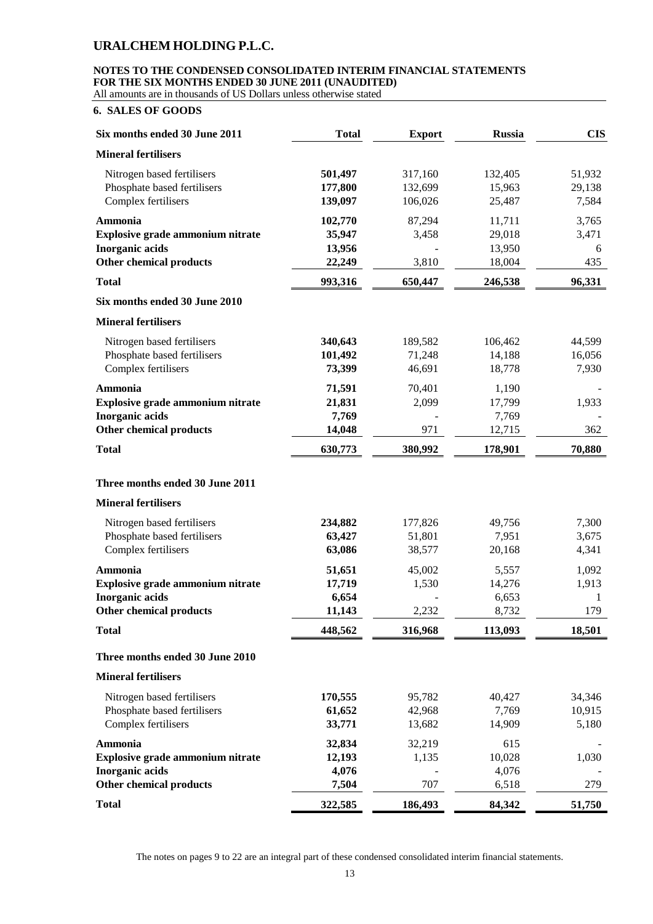## **NOTES TO THE CONDENSED CONSOLIDATED INTERIM FINANCIAL STATEMENTS FOR THE SIX MONTHS ENDED 30 JUNE 2011 (UNAUDITED)**

All amounts are in thousands of US Dollars unless otherwise stated

## **6. SALES OF GOODS**

| Six months ended 30 June 2011    | <b>Total</b> | <b>Export</b> | <b>Russia</b> | <b>CIS</b> |
|----------------------------------|--------------|---------------|---------------|------------|
| <b>Mineral fertilisers</b>       |              |               |               |            |
| Nitrogen based fertilisers       | 501,497      | 317,160       | 132,405       | 51,932     |
| Phosphate based fertilisers      | 177,800      | 132,699       | 15,963        | 29,138     |
| Complex fertilisers              | 139,097      | 106,026       | 25,487        | 7,584      |
| Ammonia                          | 102,770      | 87,294        | 11,711        | 3,765      |
| Explosive grade ammonium nitrate | 35,947       | 3,458         | 29,018        | 3,471      |
| <b>Inorganic acids</b>           | 13,956       |               | 13,950        | 6          |
| Other chemical products          | 22,249       | 3,810         | 18,004        | 435        |
| <b>Total</b>                     | 993,316      | 650,447       | 246,538       | 96,331     |
| Six months ended 30 June 2010    |              |               |               |            |
| <b>Mineral fertilisers</b>       |              |               |               |            |
| Nitrogen based fertilisers       | 340,643      | 189,582       | 106,462       | 44,599     |
| Phosphate based fertilisers      | 101,492      | 71,248        | 14,188        | 16,056     |
| Complex fertilisers              | 73,399       | 46,691        | 18,778        | 7,930      |
| Ammonia                          | 71,591       | 70,401        | 1,190         |            |
| Explosive grade ammonium nitrate | 21,831       | 2,099         | 17,799        | 1,933      |
| <b>Inorganic acids</b>           | 7,769        |               | 7,769         |            |
| <b>Other chemical products</b>   | 14,048       | 971           | 12,715        | 362        |
| <b>Total</b>                     | 630,773      | 380,992       | 178,901       | 70,880     |
| Three months ended 30 June 2011  |              |               |               |            |
| <b>Mineral fertilisers</b>       |              |               |               |            |
| Nitrogen based fertilisers       | 234,882      | 177,826       | 49,756        | 7,300      |
| Phosphate based fertilisers      | 63,427       | 51,801        | 7,951         | 3,675      |
| Complex fertilisers              | 63,086       | 38,577        | 20,168        | 4,341      |
| Ammonia                          | 51,651       | 45,002        | 5,557         | 1,092      |
| Explosive grade ammonium nitrate | 17,719       | 1,530         | 14,276        | 1,913      |
| <b>Inorganic</b> acids           | 6,654        |               | 6,653         | 1          |
| <b>Other chemical products</b>   | 11,143       | 2,232         | 8,732         | 179        |
| <b>Total</b>                     | 448,562      | 316,968       | 113,093       | 18,501     |
| Three months ended 30 June 2010  |              |               |               |            |
| <b>Mineral fertilisers</b>       |              |               |               |            |
| Nitrogen based fertilisers       | 170,555      | 95,782        | 40,427        | 34,346     |
| Phosphate based fertilisers      | 61,652       | 42,968        | 7,769         | 10,915     |
| Complex fertilisers              | 33,771       | 13,682        | 14,909        | 5,180      |
| Ammonia                          | 32,834       | 32,219        | 615           |            |
| Explosive grade ammonium nitrate | 12,193       | 1,135         | 10,028        | 1,030      |
| <b>Inorganic acids</b>           | 4,076        |               | 4,076         |            |
| Other chemical products          | 7,504        | 707           | 6,518         | 279        |
| <b>Total</b>                     | 322,585      | 186,493       | 84,342        | 51,750     |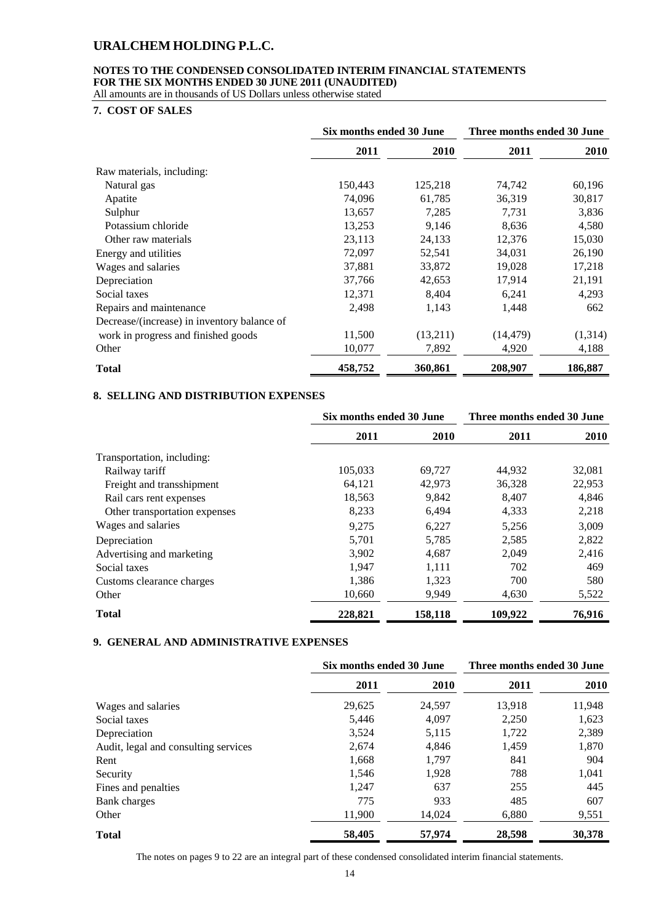## **NOTES TO THE CONDENSED CONSOLIDATED INTERIM FINANCIAL STATEMENTS FOR THE SIX MONTHS ENDED 30 JUNE 2011 (UNAUDITED)**

All amounts are in thousands of US Dollars unless otherwise stated

## **7. COST OF SALES**

|                                             | Six months ended 30 June |          | Three months ended 30 June |             |  |
|---------------------------------------------|--------------------------|----------|----------------------------|-------------|--|
|                                             | 2011                     | 2010     | 2011                       | <b>2010</b> |  |
| Raw materials, including:                   |                          |          |                            |             |  |
| Natural gas                                 | 150,443                  | 125,218  | 74,742                     | 60,196      |  |
| Apatite                                     | 74,096                   | 61,785   | 36,319                     | 30,817      |  |
| Sulphur                                     | 13,657                   | 7,285    | 7,731                      | 3,836       |  |
| Potassium chloride                          | 13,253                   | 9,146    | 8,636                      | 4,580       |  |
| Other raw materials                         | 23,113                   | 24,133   | 12,376                     | 15,030      |  |
| Energy and utilities                        | 72,097                   | 52,541   | 34,031                     | 26,190      |  |
| Wages and salaries                          | 37,881                   | 33,872   | 19,028                     | 17,218      |  |
| Depreciation                                | 37,766                   | 42,653   | 17,914                     | 21,191      |  |
| Social taxes                                | 12,371                   | 8,404    | 6,241                      | 4,293       |  |
| Repairs and maintenance                     | 2,498                    | 1,143    | 1,448                      | 662         |  |
| Decrease/(increase) in inventory balance of |                          |          |                            |             |  |
| work in progress and finished goods         | 11,500                   | (13,211) | (14, 479)                  | (1,314)     |  |
| Other                                       | 10,077                   | 7,892    | 4,920                      | 4,188       |  |
| <b>Total</b>                                | 458,752                  | 360,861  | 208,907                    | 186,887     |  |

## **8. SELLING AND DISTRIBUTION EXPENSES**

|                               | Six months ended 30 June |         |         | Three months ended 30 June |  |
|-------------------------------|--------------------------|---------|---------|----------------------------|--|
|                               | 2011                     | 2010    | 2011    | <b>2010</b>                |  |
| Transportation, including:    |                          |         |         |                            |  |
| Railway tariff                | 105,033                  | 69,727  | 44,932  | 32,081                     |  |
| Freight and transshipment     | 64,121                   | 42,973  | 36,328  | 22,953                     |  |
| Rail cars rent expenses       | 18,563                   | 9.842   | 8.407   | 4,846                      |  |
| Other transportation expenses | 8,233                    | 6,494   | 4,333   | 2,218                      |  |
| Wages and salaries            | 9,275                    | 6,227   | 5,256   | 3,009                      |  |
| Depreciation                  | 5,701                    | 5,785   | 2,585   | 2,822                      |  |
| Advertising and marketing     | 3,902                    | 4,687   | 2,049   | 2,416                      |  |
| Social taxes                  | 1,947                    | 1,111   | 702     | 469                        |  |
| Customs clearance charges     | 1,386                    | 1,323   | 700     | 580                        |  |
| Other                         | 10,660                   | 9,949   | 4,630   | 5,522                      |  |
| <b>Total</b>                  | 228,821                  | 158,118 | 109,922 | 76,916                     |  |

## **9. GENERAL AND ADMINISTRATIVE EXPENSES**

|                                      |        | Six months ended 30 June |        | Three months ended 30 June |  |  |
|--------------------------------------|--------|--------------------------|--------|----------------------------|--|--|
|                                      | 2011   | 2010                     | 2011   | 2010                       |  |  |
| Wages and salaries                   | 29,625 | 24,597                   | 13,918 | 11,948                     |  |  |
| Social taxes                         | 5,446  | 4,097                    | 2,250  | 1,623                      |  |  |
| Depreciation                         | 3,524  | 5,115                    | 1,722  | 2,389                      |  |  |
| Audit, legal and consulting services | 2,674  | 4,846                    | 1,459  | 1,870                      |  |  |
| Rent                                 | 1,668  | 1,797                    | 841    | 904                        |  |  |
| Security                             | 1,546  | 1,928                    | 788    | 1,041                      |  |  |
| Fines and penalties                  | 1.247  | 637                      | 255    | 445                        |  |  |
| <b>Bank</b> charges                  | 775    | 933                      | 485    | 607                        |  |  |
| Other                                | 11,900 | 14,024                   | 6,880  | 9,551                      |  |  |
| <b>Total</b>                         | 58,405 | 57,974                   | 28,598 | 30,378                     |  |  |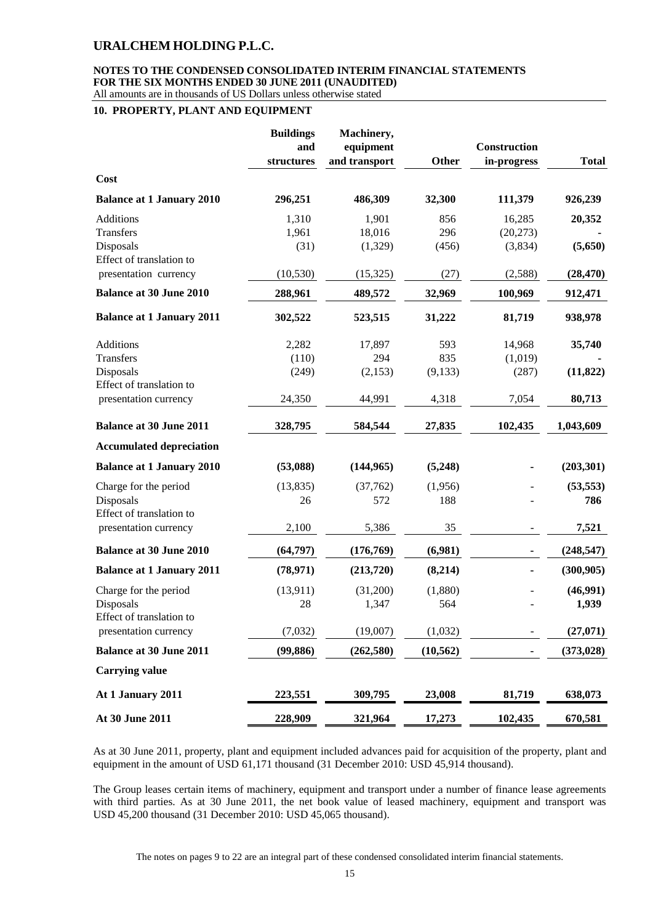#### **NOTES TO THE CONDENSED CONSOLIDATED INTERIM FINANCIAL STATEMENTS FOR THE SIX MONTHS ENDED 30 JUNE 2011 (UNAUDITED)** All amounts are in thousands of US Dollars unless otherwise stated

#### **10. PROPERTY, PLANT AND EQUIPMENT**

|                                       | <b>Buildings</b><br>and<br>structures | Machinery,<br>equipment<br>and transport | Other     | Construction<br>in-progress | <b>Total</b> |
|---------------------------------------|---------------------------------------|------------------------------------------|-----------|-----------------------------|--------------|
| Cost                                  |                                       |                                          |           |                             |              |
| <b>Balance at 1 January 2010</b>      | 296,251                               | 486,309                                  | 32,300    | 111,379                     | 926,239      |
| Additions                             | 1,310                                 | 1,901                                    | 856       | 16,285                      | 20,352       |
| Transfers                             | 1,961                                 | 18,016                                   | 296       | (20, 273)                   |              |
| Disposals<br>Effect of translation to | (31)                                  | (1,329)                                  | (456)     | (3,834)                     | (5,650)      |
| presentation currency                 | (10, 530)                             | (15, 325)                                | (27)      | (2,588)                     | (28, 470)    |
| <b>Balance at 30 June 2010</b>        | 288,961                               | 489,572                                  | 32,969    | 100,969                     | 912,471      |
| <b>Balance at 1 January 2011</b>      | 302,522                               | 523,515                                  | 31,222    | 81,719                      | 938,978      |
| Additions                             | 2,282                                 | 17,897                                   | 593       | 14,968                      | 35,740       |
| <b>Transfers</b>                      | (110)                                 | 294                                      | 835       | (1,019)                     |              |
| Disposals                             | (249)                                 | (2,153)                                  | (9, 133)  | (287)                       | (11, 822)    |
| Effect of translation to              |                                       |                                          |           |                             |              |
| presentation currency                 | 24,350                                | 44,991                                   | 4,318     | 7,054                       | 80,713       |
| <b>Balance at 30 June 2011</b>        | 328,795                               | 584,544                                  | 27,835    | 102,435                     | 1,043,609    |
| <b>Accumulated depreciation</b>       |                                       |                                          |           |                             |              |
| <b>Balance at 1 January 2010</b>      | (53,088)                              | (144, 965)                               | (5,248)   |                             | (203, 301)   |
| Charge for the period                 | (13, 835)                             | (37,762)                                 | (1,956)   |                             | (53, 553)    |
| Disposals                             | 26                                    | 572                                      | 188       |                             | 786          |
| Effect of translation to              |                                       |                                          |           |                             |              |
| presentation currency                 | 2,100                                 | 5,386                                    | 35        |                             | 7,521        |
| <b>Balance at 30 June 2010</b>        | (64, 797)                             | (176, 769)                               | (6,981)   | -                           | (248, 547)   |
| <b>Balance at 1 January 2011</b>      | (78, 971)                             | (213,720)                                | (8,214)   |                             | (300, 905)   |
| Charge for the period                 | (13, 911)                             | (31,200)                                 | (1,880)   |                             | (46,991)     |
| Disposals                             | 28                                    | 1,347                                    | 564       |                             | 1,939        |
| Effect of translation to              |                                       |                                          |           |                             |              |
| presentation currency                 | (7,032)                               | (19,007)                                 | (1,032)   |                             | (27,071)     |
| <b>Balance at 30 June 2011</b>        | (99, 886)                             | (262, 580)                               | (10, 562) |                             | (373, 028)   |
| <b>Carrying value</b>                 |                                       |                                          |           |                             |              |
| At 1 January 2011                     | 223,551                               | 309,795                                  | 23,008    | 81,719                      | 638,073      |
| At 30 June 2011                       | 228,909                               | 321,964                                  | 17,273    | 102,435                     | 670,581      |

As at 30 June 2011, property, plant and equipment included advances paid for acquisition of the property, plant and equipment in the amount of USD 61,171 thousand (31 December 2010: USD 45,914 thousand).

The Group leases certain items of machinery, equipment and transport under a number of finance lease agreements with third parties. As at 30 June 2011, the net book value of leased machinery, equipment and transport was USD 45,200 thousand (31 December 2010: USD 45,065 thousand).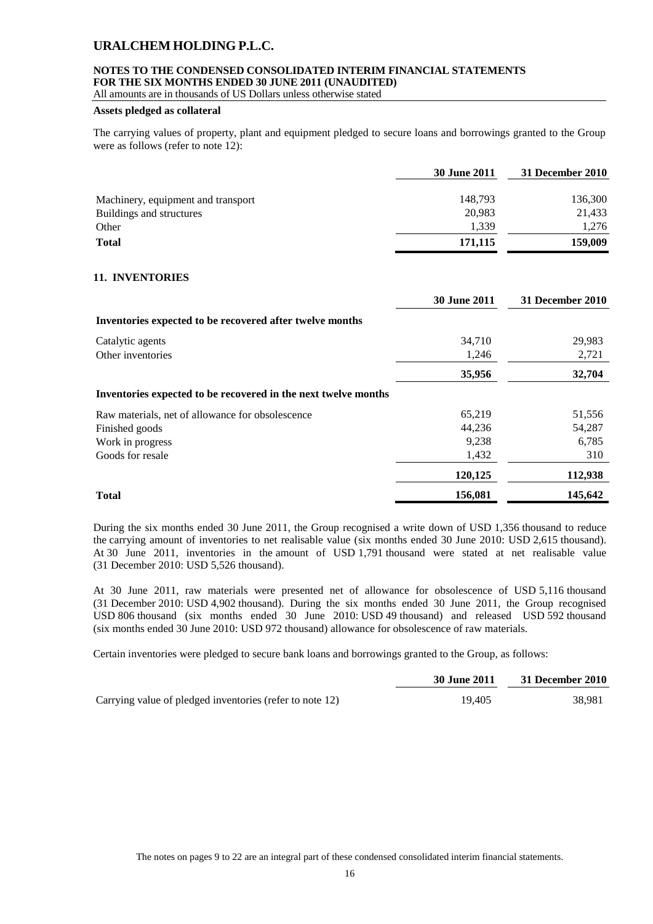## **NOTES TO THE CONDENSED CONSOLIDATED INTERIM FINANCIAL STATEMENTS FOR THE SIX MONTHS ENDED 30 JUNE 2011 (UNAUDITED)**

All amounts are in thousands of US Dollars unless otherwise stated

## **Assets pledged as collateral**

The carrying values of property, plant and equipment pledged to secure loans and borrowings granted to the Group were as follows (refer to note 12):

|                                    | <b>30 June 2011</b> | 31 December 2010 |
|------------------------------------|---------------------|------------------|
| Machinery, equipment and transport | 148,793             | 136,300          |
| Buildings and structures           | 20,983              | 21,433           |
| Other                              | 1.339               | 1,276            |
| <b>Total</b>                       | 171,115             | 159,009          |

## **11. INVENTORIES**

|                                                                | <b>30 June 2011</b> | 31 December 2010 |
|----------------------------------------------------------------|---------------------|------------------|
| Inventories expected to be recovered after twelve months       |                     |                  |
| Catalytic agents                                               | 34,710              | 29,983           |
| Other inventories                                              | 1,246               | 2,721            |
|                                                                | 35,956              | 32,704           |
| Inventories expected to be recovered in the next twelve months |                     |                  |
| Raw materials, net of allowance for obsolescence               | 65,219              | 51,556           |
| Finished goods                                                 | 44,236              | 54,287           |
| Work in progress                                               | 9,238               | 6,785            |
| Goods for resale                                               | 1,432               | 310              |
|                                                                | 120,125             | 112,938          |
| <b>Total</b>                                                   | 156,081             | 145,642          |

During the six months ended 30 June 2011, the Group recognised a write down of USD 1,356 thousand to reduce the carrying amount of inventories to net realisable value (six months ended 30 June 2010: USD 2,615 thousand). At 30 June 2011, inventories in the amount of USD 1,791 thousand were stated at net realisable value (31 December 2010: USD 5,526 thousand).

At 30 June 2011, raw materials were presented net of allowance for obsolescence of USD 5,116 thousand (31 December 2010: USD 4,902 thousand). During the six months ended 30 June 2011, the Group recognised USD 806 thousand (six months ended 30 June 2010: USD 49 thousand) and released USD 592 thousand (six months ended 30 June 2010: USD 972 thousand) allowance for obsolescence of raw materials.

Certain inventories were pledged to secure bank loans and borrowings granted to the Group, as follows:

|                                                          | <b>30 June 2011</b> | 31 December 2010 |
|----------------------------------------------------------|---------------------|------------------|
| Carrying value of pledged inventories (refer to note 12) | 19.405              | 38.981           |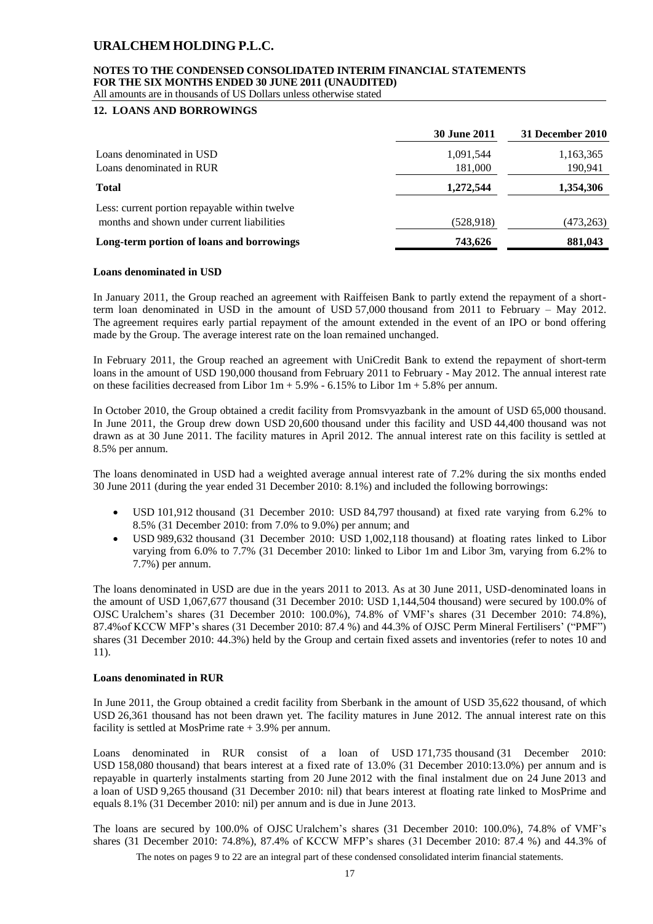## **NOTES TO THE CONDENSED CONSOLIDATED INTERIM FINANCIAL STATEMENTS FOR THE SIX MONTHS ENDED 30 JUNE 2011 (UNAUDITED)**

All amounts are in thousands of US Dollars unless otherwise stated

## **12. LOANS AND BORROWINGS**

|                                               | <b>30 June 2011</b> | 31 December 2010 |
|-----------------------------------------------|---------------------|------------------|
| Loans denominated in USD                      | 1,091,544           | 1,163,365        |
| Loans denominated in RUR                      | 181,000             | 190,941          |
| <b>Total</b>                                  | 1,272,544           | 1,354,306        |
| Less: current portion repayable within twelve |                     |                  |
| months and shown under current liabilities    | (528, 918)          | (473,263)        |
| Long-term portion of loans and borrowings     | 743,626             | 881,043          |

#### **Loans denominated in USD**

In January 2011, the Group reached an agreement with Raiffeisen Bank to partly extend the repayment of a shortterm loan denominated in USD in the amount of USD 57,000 thousand from 2011 to February – May 2012. The agreement requires early partial repayment of the amount extended in the event of an IPO or bond offering made by the Group. The average interest rate on the loan remained unchanged.

In February 2011, the Group reached an agreement with UniCredit Bank to extend the repayment of short-term loans in the amount of USD 190,000 thousand from February 2011 to February - May 2012. The annual interest rate on these facilities decreased from Libor  $1m + 5.9% - 6.15%$  to Libor  $1m + 5.8%$  per annum.

In October 2010, the Group obtained a credit facility from Promsvyazbank in the amount of USD 65,000 thousand. In June 2011, the Group drew down USD 20,600 thousand under this facility and USD 44,400 thousand was not drawn as at 30 June 2011. The facility matures in April 2012. The annual interest rate on this facility is settled at 8.5% per annum.

The loans denominated in USD had a weighted average annual interest rate of 7.2% during the six months ended 30 June 2011 (during the year ended 31 December 2010: 8.1%) and included the following borrowings:

- USD 101,912 thousand (31 December 2010: USD 84,797 thousand) at fixed rate varying from 6.2% to 8.5% (31 December 2010: from 7.0% to 9.0%) per annum; and
- USD 989,632 thousand (31 December 2010: USD 1,002,118 thousand) at floating rates linked to Libor varying from 6.0% to 7.7% (31 December 2010: linked to Libor 1m and Libor 3m, varying from 6.2% to 7.7%) per annum.

The loans denominated in USD are due in the years 2011 to 2013. As at 30 June 2011, USD-denominated loans in the amount of USD 1,067,677 thousand (31 December 2010: USD 1,144,504 thousand) were secured by 100.0% of OJSC Uralchem's shares (31 December 2010: 100.0%), 74.8% of VMF's shares (31 December 2010: 74.8%), 87.4%of KCCW MFP's shares (31 December 2010: 87.4 %) and 44.3% of OJSC Perm Mineral Fertilisers' ("PMF") shares (31 December 2010: 44.3%) held by the Group and certain fixed assets and inventories (refer to notes 10 and 11).

#### **Loans denominated in RUR**

In June 2011, the Group obtained a credit facility from Sberbank in the amount of USD 35,622 thousand, of which USD 26,361 thousand has not been drawn yet. The facility matures in June 2012. The annual interest rate on this facility is settled at MosPrime rate + 3.9% per annum.

Loans denominated in RUR consist of a loan of USD 171,735 thousand (31 December 2010: USD 158,080 thousand) that bears interest at a fixed rate of 13.0% (31 December 2010:13.0%) per annum and is repayable in quarterly instalments starting from 20 June 2012 with the final instalment due on 24 June 2013 and a loan of USD 9,265 thousand (31 December 2010: nil) that bears interest at floating rate linked to MosPrime and equals 8.1% (31 December 2010: nil) per annum and is due in June 2013.

The loans are secured by 100.0% of OJSC Uralchem's shares (31 December 2010: 100.0%), 74.8% of VMF's shares (31 December 2010: 74.8%), 87.4% of KCCW MFP's shares (31 December 2010: 87.4 %) and 44.3% of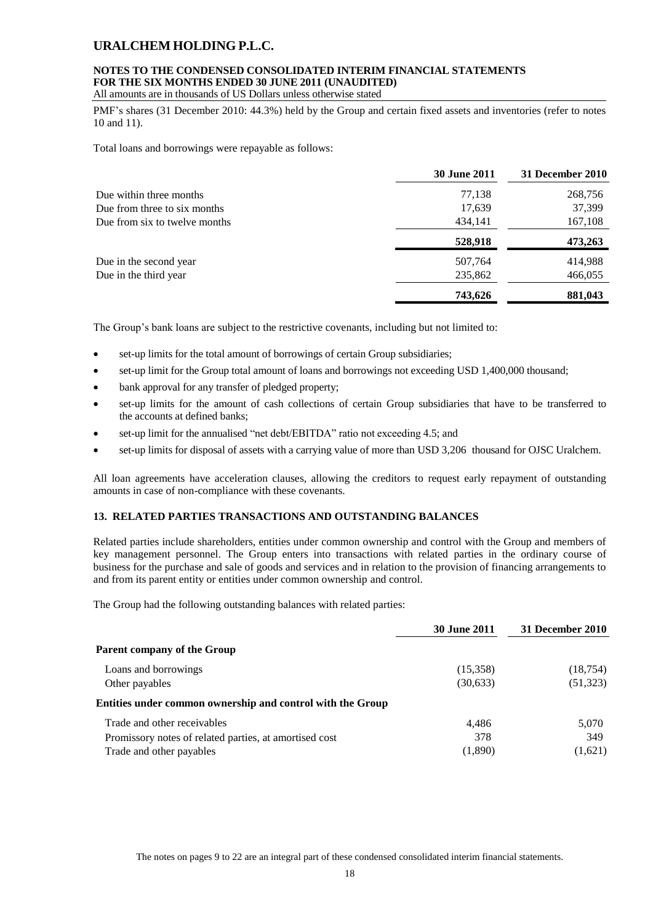## **NOTES TO THE CONDENSED CONSOLIDATED INTERIM FINANCIAL STATEMENTS FOR THE SIX MONTHS ENDED 30 JUNE 2011 (UNAUDITED)**

All amounts are in thousands of US Dollars unless otherwise stated

PMF's shares (31 December 2010: 44.3%) held by the Group and certain fixed assets and inventories (refer to notes 10 and 11).

Total loans and borrowings were repayable as follows:

|                               | <b>30 June 2011</b> | 31 December 2010 |
|-------------------------------|---------------------|------------------|
| Due within three months       | 77,138              | 268,756          |
| Due from three to six months  | 17,639              | 37,399           |
| Due from six to twelve months | 434,141             | 167,108          |
|                               | 528,918             | 473,263          |
| Due in the second year        | 507,764             | 414,988          |
| Due in the third year         | 235,862             | 466,055          |
|                               | 743,626             | 881,043          |

The Group's bank loans are subject to the restrictive covenants, including but not limited to:

- set-up limits for the total amount of borrowings of certain Group subsidiaries;
- set-up limit for the Group total amount of loans and borrowings not exceeding USD 1,400,000 thousand;
- bank approval for any transfer of pledged property;
- set-up limits for the amount of cash collections of certain Group subsidiaries that have to be transferred to the accounts at defined banks;
- set-up limit for the annualised "net debt/EBITDA" ratio not exceeding 4.5; and
- set-up limits for disposal of assets with a carrying value of more than USD 3,206 thousand for OJSC Uralchem.

All loan agreements have acceleration clauses, allowing the creditors to request early repayment of outstanding amounts in case of non-compliance with these covenants.

## **13. RELATED PARTIES TRANSACTIONS AND OUTSTANDING BALANCES**

Related parties include shareholders, entities under common ownership and control with the Group and members of key management personnel. The Group enters into transactions with related parties in the ordinary course of business for the purchase and sale of goods and services and in relation to the provision of financing arrangements to and from its parent entity or entities under common ownership and control.

The Group had the following outstanding balances with related parties:

|                                                            | <b>30 June 2011</b> | 31 December 2010 |
|------------------------------------------------------------|---------------------|------------------|
| Parent company of the Group                                |                     |                  |
| Loans and borrowings                                       | (15,358)            | (18, 754)        |
| Other payables                                             | (30,633)            | (51, 323)        |
| Entities under common ownership and control with the Group |                     |                  |
| Trade and other receivables                                | 4.486               | 5,070            |
| Promissory notes of related parties, at amortised cost     | 378                 | 349              |
| Trade and other payables                                   | (1,890)             | (1,621)          |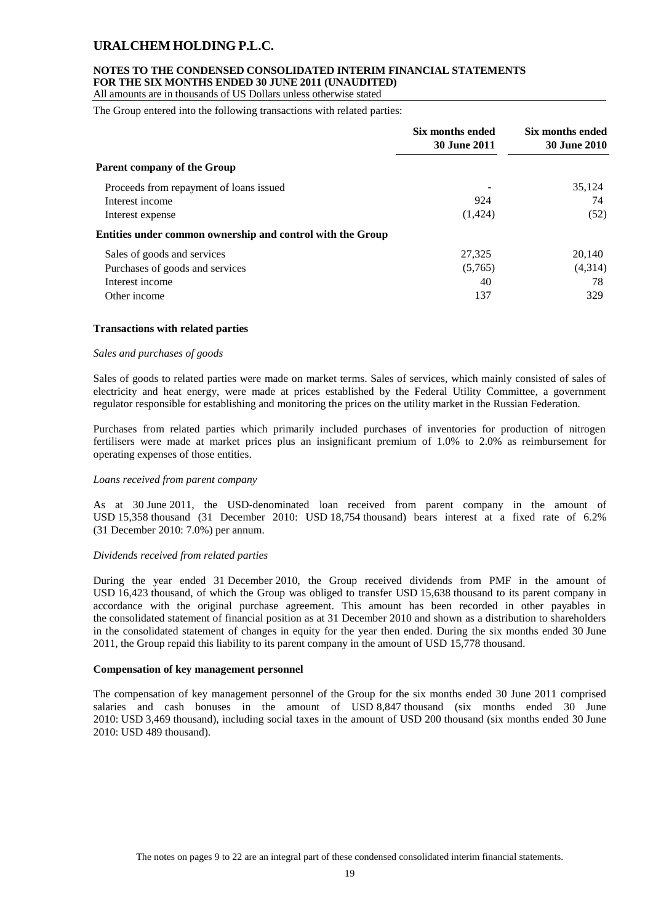## **NOTES TO THE CONDENSED CONSOLIDATED INTERIM FINANCIAL STATEMENTS FOR THE SIX MONTHS ENDED 30 JUNE 2011 (UNAUDITED)**

All amounts are in thousands of US Dollars unless otherwise stated

The Group entered into the following transactions with related parties:

|                                                            | Six months ended<br><b>30 June 2011</b> | Six months ended<br><b>30 June 2010</b> |
|------------------------------------------------------------|-----------------------------------------|-----------------------------------------|
| Parent company of the Group                                |                                         |                                         |
| Proceeds from repayment of loans issued                    |                                         | 35,124                                  |
| Interest income                                            | 924                                     | 74                                      |
| Interest expense                                           | (1,424)                                 | (52)                                    |
| Entities under common ownership and control with the Group |                                         |                                         |
| Sales of goods and services                                | 27,325                                  | 20,140                                  |
| Purchases of goods and services                            | (5,765)                                 | (4,314)                                 |
| Interest income                                            | 40                                      | 78                                      |
| Other income                                               | 137                                     | 329                                     |

#### **Transactions with related parties**

#### *Sales and purchases of goods*

Sales of goods to related parties were made on market terms. Sales of services, which mainly consisted of sales of electricity and heat energy, were made at prices established by the Federal Utility Committee, a government regulator responsible for establishing and monitoring the prices on the utility market in the Russian Federation.

Purchases from related parties which primarily included purchases of inventories for production of nitrogen fertilisers were made at market prices plus an insignificant premium of 1.0% to 2.0% as reimbursement for operating expenses of those entities.

#### *Loans received from parent company*

As at 30 June 2011, the USD-denominated loan received from parent company in the amount of USD 15,358 thousand (31 December 2010: USD 18,754 thousand) bears interest at a fixed rate of 6.2% (31 December 2010: 7.0%) per annum.

#### *Dividends received from related parties*

During the year ended 31 December 2010, the Group received dividends from PMF in the amount of USD 16,423 thousand, of which the Group was obliged to transfer USD 15,638 thousand to its parent company in accordance with the original purchase agreement. This amount has been recorded in other payables in the consolidated statement of financial position as at 31 December 2010 and shown as a distribution to shareholders in the consolidated statement of changes in equity for the year then ended. During the six months ended 30 June 2011, the Group repaid this liability to its parent company in the amount of USD 15,778 thousand.

#### **Compensation of key management personnel**

The compensation of key management personnel of the Group for the six months ended 30 June 2011 comprised salaries and cash bonuses in the amount of USD 8,847 thousand (six months ended 30 June 2010: USD 3,469 thousand), including social taxes in the amount of USD 200 thousand (six months ended 30 June 2010: USD 489 thousand).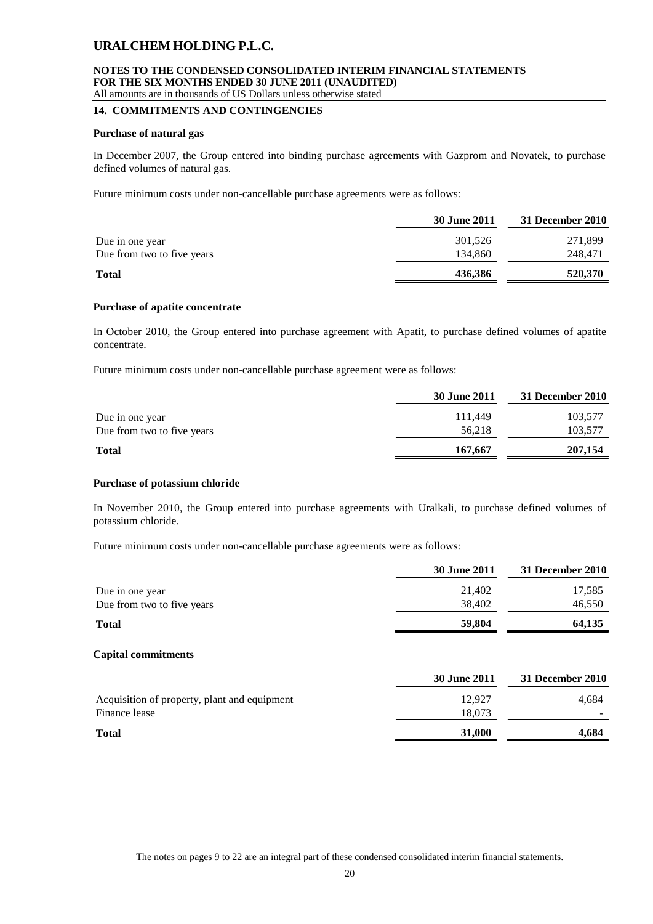#### **NOTES TO THE CONDENSED CONSOLIDATED INTERIM FINANCIAL STATEMENTS FOR THE SIX MONTHS ENDED 30 JUNE 2011 (UNAUDITED)** All amounts are in thousands of US Dollars unless otherwise stated

#### **14. COMMITMENTS AND CONTINGENCIES**

#### **Purchase of natural gas**

In December 2007, the Group entered into binding purchase agreements with Gazprom and Novatek, to purchase defined volumes of natural gas.

Future minimum costs under non-cancellable purchase agreements were as follows:

|                            | 30 June 2011 | 31 December 2010 |
|----------------------------|--------------|------------------|
| Due in one year            | 301.526      | 271,899          |
| Due from two to five years | 134,860      | 248,471          |
| <b>Total</b>               | 436.386      | 520,370          |

#### **Purchase of apatite concentrate**

In October 2010, the Group entered into purchase agreement with Apatit, to purchase defined volumes of apatite concentrate.

Future minimum costs under non-cancellable purchase agreement were as follows:

|                            | 30 June 2011 | 31 December 2010 |
|----------------------------|--------------|------------------|
| Due in one year            | 111.449      | 103,577          |
| Due from two to five years | 56.218       | 103,577          |
| <b>Total</b>               | 167,667      | 207,154          |

#### **Purchase of potassium chloride**

In November 2010, the Group entered into purchase agreements with Uralkali, to purchase defined volumes of potassium chloride.

Future minimum costs under non-cancellable purchase agreements were as follows:

|                            | 30 June 2011        | 31 December 2010 |
|----------------------------|---------------------|------------------|
| Due in one year            | 21,402              | 17,585           |
| Due from two to five years | 38,402              | 46,550           |
| <b>Total</b>               | 59,804              | 64,135           |
| <b>Capital commitments</b> |                     |                  |
|                            | <b>30 June 2011</b> | 31 December 2010 |

| Acquisition of property, plant and equipment | 12.927 | 4.684 |
|----------------------------------------------|--------|-------|
| Finance lease                                | 18.073 |       |
| <b>Total</b>                                 | 31,000 | 4.684 |
|                                              |        |       |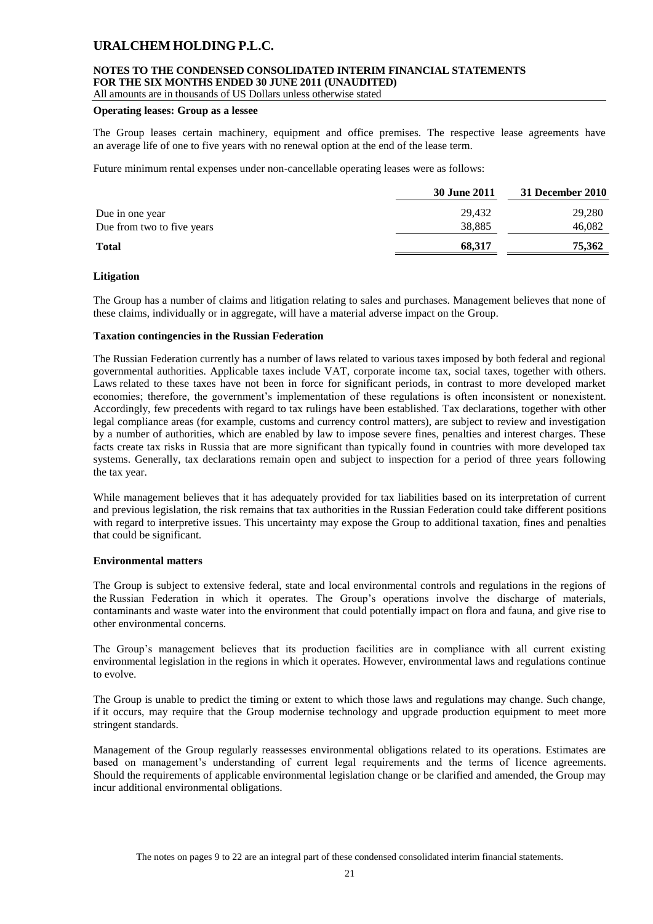## **NOTES TO THE CONDENSED CONSOLIDATED INTERIM FINANCIAL STATEMENTS FOR THE SIX MONTHS ENDED 30 JUNE 2011 (UNAUDITED)**

All amounts are in thousands of US Dollars unless otherwise stated

#### **Operating leases: Group as a lessee**

The Group leases certain machinery, equipment and office premises. The respective lease agreements have an average life of one to five years with no renewal option at the end of the lease term.

Future minimum rental expenses under non-cancellable operating leases were as follows:

|                            | 30 June 2011 | 31 December 2010 |
|----------------------------|--------------|------------------|
| Due in one year            | 29,432       | 29,280           |
| Due from two to five years | 38,885       | 46,082           |
| <b>Total</b>               | 68,317       | 75,362           |

#### **Litigation**

The Group has a number of claims and litigation relating to sales and purchases. Management believes that none of these claims, individually or in aggregate, will have a material adverse impact on the Group.

#### **Taxation contingencies in the Russian Federation**

The Russian Federation currently has a number of laws related to various taxes imposed by both federal and regional governmental authorities. Applicable taxes include VAT, corporate income tax, social taxes, together with others. Laws related to these taxes have not been in force for significant periods, in contrast to more developed market economies; therefore, the government's implementation of these regulations is often inconsistent or nonexistent. Accordingly, few precedents with regard to tax rulings have been established. Tax declarations, together with other legal compliance areas (for example, customs and currency control matters), are subject to review and investigation by a number of authorities, which are enabled by law to impose severe fines, penalties and interest charges. These facts create tax risks in Russia that are more significant than typically found in countries with more developed tax systems. Generally, tax declarations remain open and subject to inspection for a period of three years following the tax year.

While management believes that it has adequately provided for tax liabilities based on its interpretation of current and previous legislation, the risk remains that tax authorities in the Russian Federation could take different positions with regard to interpretive issues. This uncertainty may expose the Group to additional taxation, fines and penalties that could be significant.

#### **Environmental matters**

The Group is subject to extensive federal, state and local environmental controls and regulations in the regions of the Russian Federation in which it operates. The Group's operations involve the discharge of materials, contaminants and waste water into the environment that could potentially impact on flora and fauna, and give rise to other environmental concerns.

The Group's management believes that its production facilities are in compliance with all current existing environmental legislation in the regions in which it operates. However, environmental laws and regulations continue to evolve.

The Group is unable to predict the timing or extent to which those laws and regulations may change. Such change, if it occurs, may require that the Group modernise technology and upgrade production equipment to meet more stringent standards.

Management of the Group regularly reassesses environmental obligations related to its operations. Estimates are based on management's understanding of current legal requirements and the terms of licence agreements. Should the requirements of applicable environmental legislation change or be clarified and amended, the Group may incur additional environmental obligations.